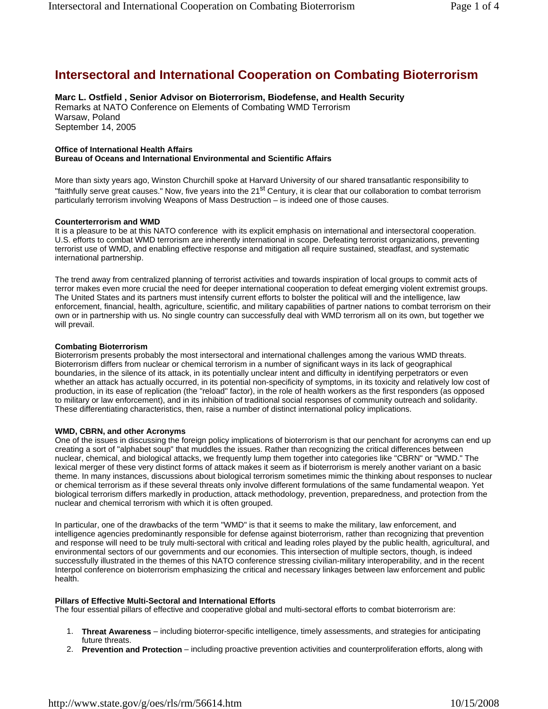# **Intersectoral and International Cooperation on Combating Bioterrorism**

**Marc L. Ostfield , Senior Advisor on Bioterrorism, Biodefense, and Health Security**  Remarks at NATO Conference on Elements of Combating WMD Terrorism Warsaw, Poland September 14, 2005

#### **Office of International Health Affairs Bureau of Oceans and International Environmental and Scientific Affairs**

More than sixty years ago, Winston Churchill spoke at Harvard University of our shared transatlantic responsibility to "faithfully serve great causes." Now, five years into the 21<sup>st</sup> Century, it is clear that our collaboration to combat terrorism particularly terrorism involving Weapons of Mass Destruction – is indeed one of those causes.

# **Counterterrorism and WMD**

It is a pleasure to be at this NATO conference with its explicit emphasis on international and intersectoral cooperation. U.S. efforts to combat WMD terrorism are inherently international in scope. Defeating terrorist organizations, preventing terrorist use of WMD, and enabling effective response and mitigation all require sustained, steadfast, and systematic international partnership.

The trend away from centralized planning of terrorist activities and towards inspiration of local groups to commit acts of terror makes even more crucial the need for deeper international cooperation to defeat emerging violent extremist groups. The United States and its partners must intensify current efforts to bolster the political will and the intelligence, law enforcement, financial, health, agriculture, scientific, and military capabilities of partner nations to combat terrorism on their own or in partnership with us. No single country can successfully deal with WMD terrorism all on its own, but together we will prevail.

# **Combating Bioterrorism**

Bioterrorism presents probably the most intersectoral and international challenges among the various WMD threats. Bioterrorism differs from nuclear or chemical terrorism in a number of significant ways in its lack of geographical boundaries, in the silence of its attack, in its potentially unclear intent and difficulty in identifying perpetrators or even whether an attack has actually occurred, in its potential non-specificity of symptoms, in its toxicity and relatively low cost of production, in its ease of replication (the "reload" factor), in the role of health workers as the first responders (as opposed to military or law enforcement), and in its inhibition of traditional social responses of community outreach and solidarity. These differentiating characteristics, then, raise a number of distinct international policy implications.

# **WMD, CBRN, and other Acronyms**

One of the issues in discussing the foreign policy implications of bioterrorism is that our penchant for acronyms can end up creating a sort of "alphabet soup" that muddles the issues. Rather than recognizing the critical differences between nuclear, chemical, and biological attacks, we frequently lump them together into categories like "CBRN" or "WMD." The lexical merger of these very distinct forms of attack makes it seem as if bioterrorism is merely another variant on a basic theme. In many instances, discussions about biological terrorism sometimes mimic the thinking about responses to nuclear or chemical terrorism as if these several threats only involve different formulations of the same fundamental weapon. Yet biological terrorism differs markedly in production, attack methodology, prevention, preparedness, and protection from the nuclear and chemical terrorism with which it is often grouped.

In particular, one of the drawbacks of the term "WMD" is that it seems to make the military, law enforcement, and intelligence agencies predominantly responsible for defense against bioterrorism, rather than recognizing that prevention and response will need to be truly multi-sectoral with critical and leading roles played by the public health, agricultural, and environmental sectors of our governments and our economies. This intersection of multiple sectors, though, is indeed successfully illustrated in the themes of this NATO conference stressing civilian-military interoperability, and in the recent Interpol conference on bioterrorism emphasizing the critical and necessary linkages between law enforcement and public health.

# **Pillars of Effective Multi-Sectoral and International Efforts**

The four essential pillars of effective and cooperative global and multi-sectoral efforts to combat bioterrorism are:

- 1. **Threat Awareness** including bioterror-specific intelligence, timely assessments, and strategies for anticipating future threats.
- 2. **Prevention and Protection** including proactive prevention activities and counterproliferation efforts, along with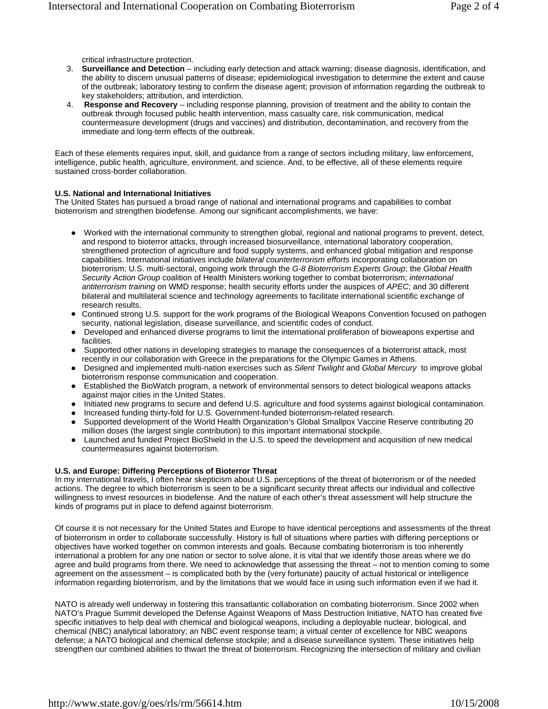critical infrastructure protection.

- 3. **Surveillance and Detection** including early detection and attack warning; disease diagnosis, identification, and the ability to discern unusual patterns of disease; epidemiological investigation to determine the extent and cause of the outbreak; laboratory testing to confirm the disease agent; provision of information regarding the outbreak to key stakeholders; attribution, and interdiction.
- 4. **Response and Recovery**  including response planning, provision of treatment and the ability to contain the outbreak through focused public health intervention, mass casualty care, risk communication, medical countermeasure development (drugs and vaccines) and distribution, decontamination, and recovery from the immediate and long-term effects of the outbreak.

Each of these elements requires input, skill, and guidance from a range of sectors including military, law enforcement, intelligence, public health, agriculture, environment, and science. And, to be effective, all of these elements require sustained cross-border collaboration.

#### **U.S. National and International Initiatives**

The United States has pursued a broad range of national and international programs and capabilities to combat bioterrorism and strengthen biodefense. Among our significant accomplishments, we have:

- Worked with the international community to strengthen global, regional and national programs to prevent, detect, and respond to bioterror attacks, through increased biosurveillance, international laboratory cooperation, strengthened protection of agriculture and food supply systems, and enhanced global mitigation and response capabilities. International initiatives include *bilateral counterterrorism efforts* incorporating collaboration on bioterrorism; U.S. multi-sectoral, ongoing work through the *G-8 Bioterrorism Experts Group*; the *Global Health Security Action Group* coalition of Health Ministers working together to combat bioterrorism; *international antiterrorism training* on WMD response; health security efforts under the auspices of *APEC*; and 30 different bilateral and multilateral science and technology agreements to facilitate international scientific exchange of research results.
- Continued strong U.S. support for the work programs of the Biological Weapons Convention focused on pathogen security, national legislation, disease surveillance, and scientific codes of conduct.
- Developed and enhanced diverse programs to limit the international proliferation of bioweapons expertise and facilities.
- Supported other nations in developing strategies to manage the consequences of a bioterrorist attack, most recently in our collaboration with Greece in the preparations for the Olympic Games in Athens.
- z Designed and implemented multi-nation exercises such as *Silent Twilight* and *Global Mercury* to improve global bioterrorism response communication and cooperation.
- Established the BioWatch program, a network of environmental sensors to detect biological weapons attacks against major cities in the United States.
- Initiated new programs to secure and defend U.S. agriculture and food systems against biological contamination.
- Increased funding thirty-fold for U.S. Government-funded bioterrorism-related research.
- Supported development of the World Health Organization's Global Smallpox Vaccine Reserve contributing 20 million doses (the largest single contribution) to this important international stockpile.
- Launched and funded Project BioShield in the U.S. to speed the development and acquisition of new medical countermeasures against bioterrorism.

#### **U.S. and Europe: Differing Perceptions of Bioterror Threat**

In my international travels, I often hear skepticism about U.S. perceptions of the threat of bioterrorism or of the needed actions. The degree to which bioterrorism is seen to be a significant security threat affects our individual and collective willingness to invest resources in biodefense. And the nature of each other's threat assessment will help structure the kinds of programs put in place to defend against bioterrorism.

Of course it is not necessary for the United States and Europe to have identical perceptions and assessments of the threat of bioterrorism in order to collaborate successfully. History is full of situations where parties with differing perceptions or objectives have worked together on common interests and goals. Because combating bioterrorism is too inherently international a problem for any one nation or sector to solve alone, it is vital that we identify those areas where we do agree and build programs from there. We need to acknowledge that assessing the threat – not to mention coming to some agreement on the assessment – is complicated both by the (very fortunate) paucity of actual historical or intelligence information regarding bioterrorism, and by the limitations that we would face in using such information even if we had it.

NATO is already well underway in fostering this transatlantic collaboration on combating bioterrorism. Since 2002 when NATO's Prague Summit developed the Defense Against Weapons of Mass Destruction Initiative, NATO has created five specific initiatives to help deal with chemical and biological weapons, including a deployable nuclear, biological, and chemical (NBC) analytical laboratory; an NBC event response team; a virtual center of excellence for NBC weapons defense; a NATO biological and chemical defense stockpile; and a disease surveillance system. These initiatives help strengthen our combined abilities to thwart the threat of bioterrorism. Recognizing the intersection of military and civilian